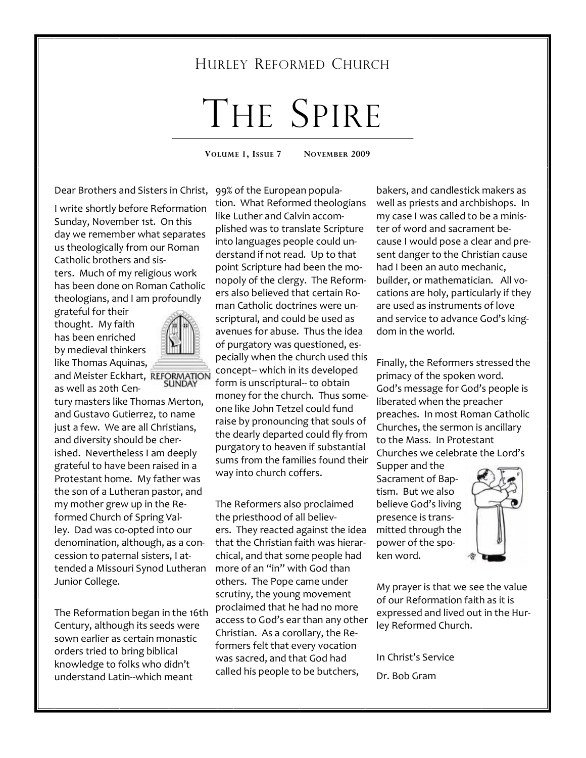# HURLEY REFORMED CHURCH

# THE SPIRE

**VOLUME 1, ISSUE 7 NOVEMBER 2009** 

Dear Brothers and Sisters in Christ,

I write shortly before Reformation Sunday, November 1st. On this day we remember what separates us theologically from our Roman Catholic brothers and sisters. Much of my religious work has been done on Roman Catholic theologians, and I am profoundly

grateful for their thought. My faith has been enriched by medieval thinkers like Thomas Aquinas,



and Meister Eckhart, REFORMATION as well as 20th Cen-

tury masters like Thomas Merton, and Gustavo Gutierrez, to name just a few. We are all Christians, and diversity should be cherished. Nevertheless I am deeply grateful to have been raised in a Protestant home. My father was the son of a Lutheran pastor, and my mother grew up in the Reformed Church of Spring Valley. Dad was co-opted into our denomination, although, as a concession to paternal sisters, I attended a Missouri Synod Lutheran Junior College.

The Reformation began in the 16th Century, although its seeds were sown earlier as certain monastic orders tried to bring biblical knowledge to folks who didn't understand Latin--which meant

99% of the European population. What Reformed theologians like Luther and Calvin accomplished was to translate Scripture into languages people could understand if not read. Up to that point Scripture had been the monopoly of the clergy. The Reformers also believed that certain Roman Catholic doctrines were unscriptural, and could be used as avenues for abuse. Thus the idea of purgatory was questioned, especially when the church used this concept-- which in its developed form is unscriptural-- to obtain money for the church. Thus someone like John Tetzel could fund raise by pronouncing that souls of the dearly departed could fly from purgatory to heaven if substantial sums from the families found their way into church coffers.

The Reformers also proclaimed the priesthood of all believers. They reacted against the idea that the Christian faith was hierarchical, and that some people had more of an "in" with God than others. The Pope came under scrutiny, the young movement proclaimed that he had no more access to God's ear than any other Christian. As a corollary, the Reformers felt that every vocation was sacred, and that God had called his people to be butchers,

bakers, and candlestick makers as well as priests and archbishops. In my case I was called to be a minister of word and sacrament because I would pose a clear and present danger to the Christian cause had I been an auto mechanic, builder, or mathematician. All vocations are holy, particularly if they are used as instruments of love and service to advance God's kingdom in the world.

Finally, the Reformers stressed the primacy of the spoken word. God's message for God's people is liberated when the preacher preaches. In most Roman Catholic Churches, the sermon is ancillary to the Mass. In Protestant Churches we celebrate the Lord's

Supper and the Sacrament of Baptism. But we also believe God's living presence is transmitted through the power of the spoken word.



My prayer is that we see the value of our Reformation faith as it is expressed and lived out in the Hurley Reformed Church.

In Christ's Service Dr. Bob Gram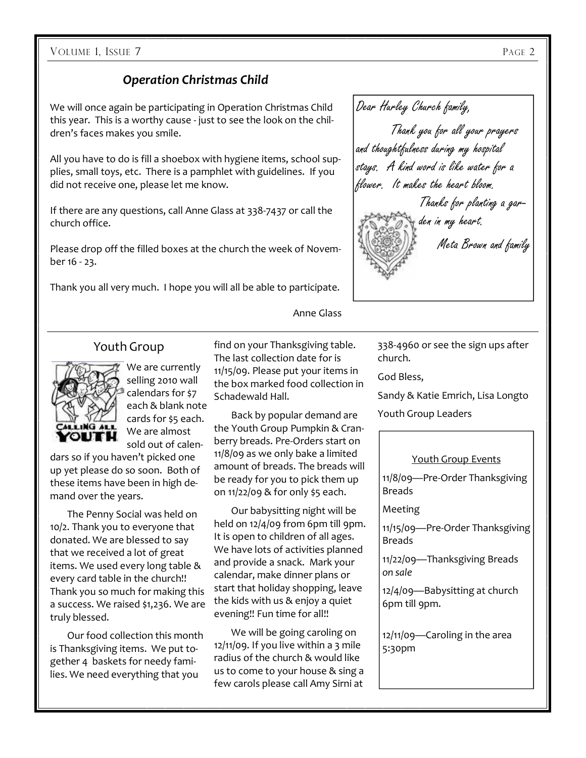#### VOLUME 1, ISSUE 7 PAGE 2

## *Operation Christmas Child*

We will once again be participating in Operation Christmas Child this year. This is a worthy cause - just to see the look on the children's faces makes you smile.

All you have to do is fill a shoebox with hygiene items, school supplies, small toys, etc. There is a pamphlet with guidelines. If you did not receive one, please let me know.

If there are any questions, call Anne Glass at 338-7437 or call the church office.

Please drop off the filled boxes at the church the week of November 16 - 23.

Thank you all very much. I hope you will all be able to participate.



## Youth Group



We are currently selling 2010 wall calendars for \$7 each & blank note cards for \$5 each. We are almost sold out of calen-

dars so if you haven't picked one up yet please do so soon. Both of these items have been in high demand over the years.

 The Penny Social was held on 10/2. Thank you to everyone that donated. We are blessed to say that we received a lot of great items. We used every long table & every card table in the church!! Thank you so much for making this a success. We raised \$1,236. We are truly blessed.

 Our food collection this month is Thanksgiving items. We put together 4 baskets for needy families. We need everything that you

find on your Thanksgiving table. The last collection date for is 11/15/09. Please put your items in the box marked food collection in Schadewald Hall.

Anne Glass

 Back by popular demand are the Youth Group Pumpkin & Cranberry breads. Pre-Orders start on 11/8/09 as we only bake a limited amount of breads. The breads will be ready for you to pick them up on 11/22/09 & for only \$5 each.

 Our babysitting night will be held on 12/4/09 from 6pm till 9pm. It is open to children of all ages. We have lots of activities planned and provide a snack. Mark your calendar, make dinner plans or start that holiday shopping, leave the kids with us & enjoy a quiet evening!! Fun time for all!!

 We will be going caroling on  $12/11/09$ . If you live within a 3 mile radius of the church & would like us to come to your house & sing a few carols please call Amy Sirni at

338-4960 or see the sign ups after church.

God Bless,

Sandy & Katie Emrich, Lisa Longto Youth Group Leaders

#### Youth Group Events

11/8/09—Pre-Order Thanksgiving Breads

Meeting

11/15/09—Pre-Order Thanksgiving Breads

11/22/09—Thanksgiving Breads *on sale*

12/4/09—Babysitting at church 6pm till 9pm.

12/11/09—Caroling in the area 5:30pm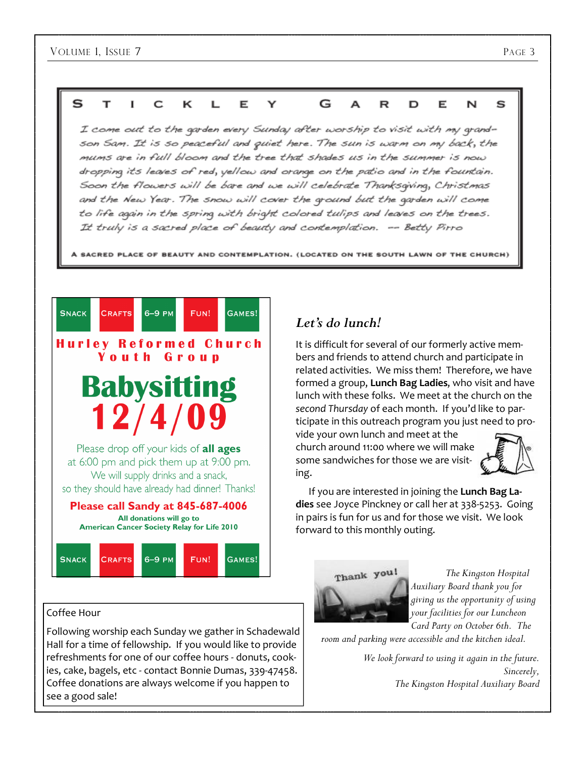

I come out to the garden every Sunday after worship to visit with my grandson Sam. It is so peaceful and quiet here. The sun is warm on my back, the mums are in full bloom and the tree that shades us in the summer is now dropping its leaves of red, yellow and orange on the patio and in the fountain. Soon the flowers will be bare and we will celebrate Thanksgiving, Christmas and the New Year. The snow will cover the ground but the garden will come to life again in the spring with bright colored tulips and leaves on the trees. It truly is a sacred place of beauty and contemplation. -- Betty Pirro

**A SACRED PLACE OF BEAUTY AND CONTEMPLATION. (LOCATED ON THE SOUTH LAWN OF THE CHURCH)** 



#### Coffee Hour

Following worship each Sunday we gather in Schadewald Hall for a time of fellowship. If you would like to provide refreshments for one of our coffee hours - donuts, cookies, cake, bagels, etc - contact Bonnie Dumas, 339-47458. Coffee donations are always welcome if you happen to see a good sale!

## *Let's do lunch!*

It is difficult for several of our formerly active members and friends to attend church and participate in related activities. We miss them! Therefore, we have formed a group, **Lunch Bag Ladies**, who visit and have lunch with these folks. We meet at the church on the *second Thursday* of each month. If you'd like to participate in this outreach program you just need to pro-

vide your own lunch and meet at the church around 11:00 where we will make some sandwiches for those we are visiting.



 If you are interested in joining the **Lunch Bag Ladies** see Joyce Pinckney or call her at 338-5253. Going in pairs is fun for us and for those we visit. We look forward to this monthly outing.



 *The Kingston Hospital Auxiliary Board thank you for giving us the opportunity of using your facilities for our Luncheon Card Party on October 6th. The* 

*room and parking were accessible and the kitchen ideal.* 

 *We look forward to using it again in the future. Sincerely, The Kingston Hospital Auxiliary Board*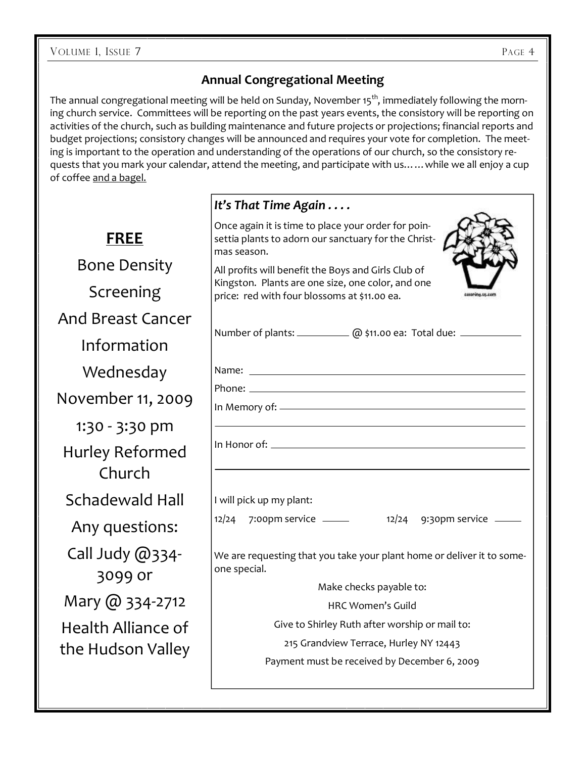## **Annual Congregational Meeting**

The annual congregational meeting will be held on Sunday, November 15<sup>th</sup>, immediately following the morning church service. Committees will be reporting on the past years events, the consistory will be reporting on activities of the church, such as building maintenance and future projects or projections; financial reports and budget projections; consistory changes will be announced and requires your vote for completion. The meeting is important to the operation and understanding of the operations of our church, so the consistory requests that you mark your calendar, attend the meeting, and participate with us……while we all enjoy a cup of coffee and a bagel.

|                            | It's That Time Again                                                                                                                                     |  |  |  |  |
|----------------------------|----------------------------------------------------------------------------------------------------------------------------------------------------------|--|--|--|--|
| <b>FREE</b>                | Once again it is time to place your order for poin-<br>settia plants to adorn our sanctuary for the Christ-<br>mas season.                               |  |  |  |  |
| <b>Bone Density</b>        | All profits will benefit the Boys and Girls Club of<br>Kingston. Plants are one size, one color, and one<br>price: red with four blossoms at \$11.00 ea. |  |  |  |  |
| Screening                  |                                                                                                                                                          |  |  |  |  |
| <b>And Breast Cancer</b>   |                                                                                                                                                          |  |  |  |  |
| Information                | Number of plants: ___________ @ \$11.00 ea: Total due: _________                                                                                         |  |  |  |  |
| Wednesday                  |                                                                                                                                                          |  |  |  |  |
| November 11, 2009          |                                                                                                                                                          |  |  |  |  |
| 1:30 - 3:30 pm             |                                                                                                                                                          |  |  |  |  |
| Hurley Reformed<br>Church  |                                                                                                                                                          |  |  |  |  |
| Schadewald Hall            | I will pick up my plant:                                                                                                                                 |  |  |  |  |
| Any questions:             | 12/24 7:00pm service ______ 12/24 9:30pm service ____                                                                                                    |  |  |  |  |
| Call Judy @334-<br>3099 or | We are requesting that you take your plant home or deliver it to some-<br>one special.                                                                   |  |  |  |  |
|                            | Make checks payable to:                                                                                                                                  |  |  |  |  |
| Mary @ 334-2712            | <b>HRC Women's Guild</b>                                                                                                                                 |  |  |  |  |
| Health Alliance of         | Give to Shirley Ruth after worship or mail to:                                                                                                           |  |  |  |  |
| the Hudson Valley          | 215 Grandview Terrace, Hurley NY 12443                                                                                                                   |  |  |  |  |
|                            | Payment must be received by December 6, 2009                                                                                                             |  |  |  |  |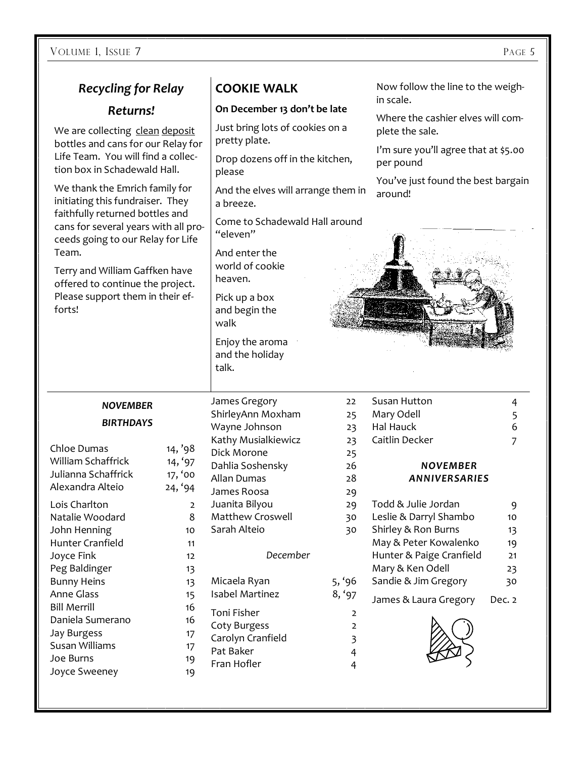VOLUME 1, ISSUE 7 PAGE 5

| <b>Recycling for Relay</b>                                                                                                                                                                                                                                                                                                                                                   |         | <b>COOKIE WALK</b>                               |                   | Now follow the line to the weigh-                    |        |
|------------------------------------------------------------------------------------------------------------------------------------------------------------------------------------------------------------------------------------------------------------------------------------------------------------------------------------------------------------------------------|---------|--------------------------------------------------|-------------------|------------------------------------------------------|--------|
| Returns!                                                                                                                                                                                                                                                                                                                                                                     |         | On December 13 don't be late                     |                   | in scale.                                            |        |
| We are collecting clean deposit<br>bottles and cans for our Relay for<br>Life Team. You will find a collec-<br>tion box in Schadewald Hall.<br>We thank the Emrich family for<br>initiating this fundraiser. They<br>faithfully returned bottles and<br>cans for several years with all pro-<br>ceeds going to our Relay for Life<br>Team.<br>Terry and William Gaffken have |         | Just bring lots of cookies on a<br>pretty plate. |                   | Where the cashier elves will com-<br>plete the sale. |        |
|                                                                                                                                                                                                                                                                                                                                                                              |         | Drop dozens off in the kitchen,<br>please        |                   | I'm sure you'll agree that at \$5.00<br>per pound    |        |
|                                                                                                                                                                                                                                                                                                                                                                              |         | And the elves will arrange them in<br>a breeze.  |                   | You've just found the best bargain<br>around!        |        |
|                                                                                                                                                                                                                                                                                                                                                                              |         | Come to Schadewald Hall around<br>"eleven"       |                   |                                                      |        |
|                                                                                                                                                                                                                                                                                                                                                                              |         | And enter the<br>world of cookie<br>heaven.      |                   |                                                      |        |
| offered to continue the project.                                                                                                                                                                                                                                                                                                                                             |         |                                                  |                   |                                                      |        |
| Please support them in their ef-<br>forts!                                                                                                                                                                                                                                                                                                                                   |         | Pick up a box<br>and begin the<br>walk           |                   |                                                      |        |
|                                                                                                                                                                                                                                                                                                                                                                              |         | Enjoy the aroma<br>and the holiday<br>talk.      |                   |                                                      |        |
| <b>NOVEMBER</b>                                                                                                                                                                                                                                                                                                                                                              |         | James Gregory                                    | $22 \overline{ }$ | Susan Hutton                                         | 4      |
| <b>BIRTHDAYS</b>                                                                                                                                                                                                                                                                                                                                                             |         | ShirleyAnn Moxham                                | 25                | Mary Odell                                           | 5      |
|                                                                                                                                                                                                                                                                                                                                                                              |         | Wayne Johnson                                    | 23                | Hal Hauck                                            | 6      |
|                                                                                                                                                                                                                                                                                                                                                                              |         |                                                  |                   |                                                      |        |
|                                                                                                                                                                                                                                                                                                                                                                              |         | Kathy Musialkiewicz                              | 23                | Caitlin Decker                                       | 7      |
| Chloe Dumas                                                                                                                                                                                                                                                                                                                                                                  | 14, '98 | Dick Morone                                      | 25                |                                                      |        |
| William Schaffrick                                                                                                                                                                                                                                                                                                                                                           | 14, '97 | Dahlia Soshensky                                 | 26                | <b>NOVEMBER</b>                                      |        |
| Julianna Schaffrick                                                                                                                                                                                                                                                                                                                                                          | 17, '00 | Allan Dumas                                      | 28                | ANNIVERSARIES                                        |        |
| Alexandra Alteio                                                                                                                                                                                                                                                                                                                                                             | 24, '94 | James Roosa                                      | 29                |                                                      |        |
| Lois Charlton                                                                                                                                                                                                                                                                                                                                                                | 2       | Juanita Bilyou                                   | 29                | Todd & Julie Jordan                                  | 9      |
| Natalie Woodard                                                                                                                                                                                                                                                                                                                                                              | 8       | Matthew Croswell                                 | 30                | Leslie & Darryl Shambo                               | 10     |
| John Henning                                                                                                                                                                                                                                                                                                                                                                 | 10      | Sarah Alteio                                     | 30                | Shirley & Ron Burns                                  | 13     |
| <b>Hunter Cranfield</b>                                                                                                                                                                                                                                                                                                                                                      | 11      |                                                  |                   | May & Peter Kowalenko                                | 19     |
| Joyce Fink                                                                                                                                                                                                                                                                                                                                                                   | 12      | December                                         |                   | Hunter & Paige Cranfield                             | 21     |
| Peg Baldinger                                                                                                                                                                                                                                                                                                                                                                | 13      |                                                  |                   | Mary & Ken Odell                                     | 23     |
| <b>Bunny Heins</b>                                                                                                                                                                                                                                                                                                                                                           | 13      | Micaela Ryan                                     | 5, '96            | Sandie & Jim Gregory                                 | 30     |
| <b>Anne Glass</b>                                                                                                                                                                                                                                                                                                                                                            | 15      | <b>Isabel Martinez</b>                           | 8, '97            |                                                      |        |
| <b>Bill Merrill</b>                                                                                                                                                                                                                                                                                                                                                          | 16      | Toni Fisher                                      | 2                 | James & Laura Gregory                                | Dec. 2 |
| Daniela Sumerano                                                                                                                                                                                                                                                                                                                                                             | 16      |                                                  | $\overline{2}$    |                                                      |        |
| <b>Jay Burgess</b>                                                                                                                                                                                                                                                                                                                                                           | 17      | Coty Burgess                                     |                   |                                                      |        |
| Susan Williams                                                                                                                                                                                                                                                                                                                                                               | 17      | Carolyn Cranfield                                | 3                 |                                                      |        |
| Joe Burns                                                                                                                                                                                                                                                                                                                                                                    | 19      | Pat Baker                                        | $\overline{4}$    |                                                      |        |
| Joyce Sweeney                                                                                                                                                                                                                                                                                                                                                                | 19      | Fran Hofler                                      | 4                 |                                                      |        |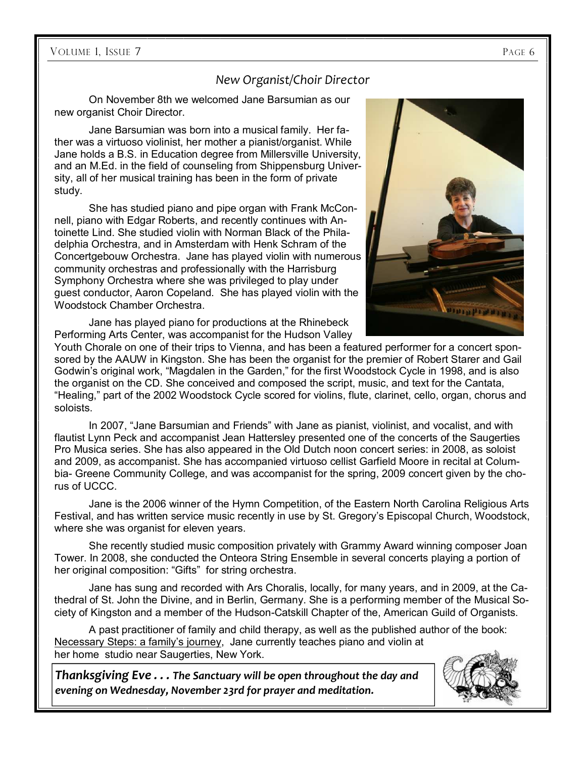## *New Organist/Choir Director*

On November 8th we welcomed Jane Barsumian as our new organist Choir Director.

Jane Barsumian was born into a musical family. Her father was a virtuoso violinist, her mother a pianist/organist. While Jane holds a B.S. in Education degree from Millersville University, and an M.Ed. in the field of counseling from Shippensburg University, all of her musical training has been in the form of private study.

She has studied piano and pipe organ with Frank McConnell, piano with Edgar Roberts, and recently continues with Antoinette Lind. She studied violin with Norman Black of the Philadelphia Orchestra, and in Amsterdam with Henk Schram of the Concertgebouw Orchestra. Jane has played violin with numerous community orchestras and professionally with the Harrisburg Symphony Orchestra where she was privileged to play under guest conductor, Aaron Copeland. She has played violin with the Woodstock Chamber Orchestra.



Jane has played piano for productions at the Rhinebeck Performing Arts Center, was accompanist for the Hudson Valley

Youth Chorale on one of their trips to Vienna, and has been a featured performer for a concert sponsored by the AAUW in Kingston. She has been the organist for the premier of Robert Starer and Gail Godwin's original work, "Magdalen in the Garden," for the first Woodstock Cycle in 1998, and is also the organist on the CD. She conceived and composed the script, music, and text for the Cantata, "Healing," part of the 2002 Woodstock Cycle scored for violins, flute, clarinet, cello, organ, chorus and soloists.

In 2007, "Jane Barsumian and Friends" with Jane as pianist, violinist, and vocalist, and with flautist Lynn Peck and accompanist Jean Hattersley presented one of the concerts of the Saugerties Pro Musica series. She has also appeared in the Old Dutch noon concert series: in 2008, as soloist and 2009, as accompanist. She has accompanied virtuoso cellist Garfield Moore in recital at Columbia- Greene Community College, and was accompanist for the spring, 2009 concert given by the chorus of UCCC.

Jane is the 2006 winner of the Hymn Competition, of the Eastern North Carolina Religious Arts Festival, and has written service music recently in use by St. Gregory's Episcopal Church, Woodstock, where she was organist for eleven years.

She recently studied music composition privately with Grammy Award winning composer Joan Tower. In 2008, she conducted the Onteora String Ensemble in several concerts playing a portion of her original composition: "Gifts" for string orchestra.

Jane has sung and recorded with Ars Choralis, locally, for many years, and in 2009, at the Cathedral of St. John the Divine, and in Berlin, Germany. She is a performing member of the Musical Society of Kingston and a member of the Hudson-Catskill Chapter of the, American Guild of Organists.

A past practitioner of family and child therapy, as well as the published author of the book: Necessary Steps: a family's journey, Jane currently teaches piano and violin at her home studio near Saugerties, New York.

*Thanksgiving Eve . . . The Sanctuary will be open throughout the day and evening on Wednesday, November 23rd for prayer and meditation.*